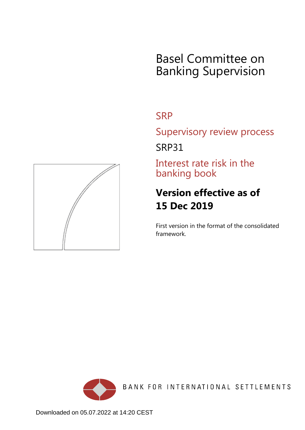# Basel Committee on Banking Supervision

# **SRP**

Supervisory review process

SRP31

Interest rate risk in the banking book

# **Version effective as of 15 Dec 2019**

First version in the format of the consolidated framework.



BANK FOR INTERNATIONAL SETTLEMENTS

<span id="page-0-0"></span>

Downloaded on 05.07.2022 at 14:20 CEST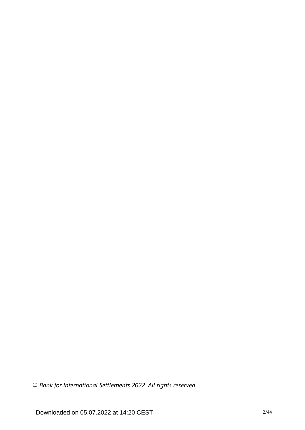*© Bank for International Settlements 2022. All rights reserved.*

Downloaded on 05.07.2022 at 14:20 CEST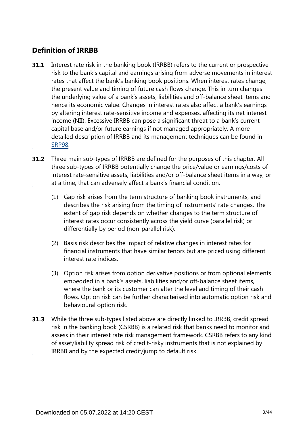# **Definition of IRRBB**

- Interest rate risk in the banking book (IRRBB) refers to the current or prospective risk to the bank's capital and earnings arising from adverse movements in interest rates that affect the bank's banking book positions. When interest rates change, the present value and timing of future cash flows change. This in turn changes the underlying value of a bank's assets, liabilities and off-balance sheet items and hence its economic value. Changes in interest rates also affect a bank's earnings by altering interest rate-sensitive income and expenses, affecting its net interest income (NII). Excessive IRRBB can pose a significant threat to a bank's current capital base and/or future earnings if not managed appropriately. A more detailed description of IRRBB and its management techniques can be found in [SRP98](https://www.bis.org/basel_framework/chapter/SRP/98.htm?tldate=20281012&inforce=20191215&published=20191215). **31.1**
- **31.2** Three main sub-types of IRRBB are defined for the purposes of this chapter. All three sub-types of IRRBB potentially change the price/value or earnings/costs of interest rate-sensitive assets, liabilities and/or off-balance sheet items in a way, or at a time, that can adversely affect a bank's financial condition.
	- (1) Gap risk arises from the term structure of banking book instruments, and describes the risk arising from the timing of instruments' rate changes. The extent of gap risk depends on whether changes to the term structure of interest rates occur consistently across the yield curve (parallel risk) or differentially by period (non-parallel risk).
	- (2) Basis risk describes the impact of relative changes in interest rates for financial instruments that have similar tenors but are priced using different interest rate indices.
	- (3) Option risk arises from option derivative positions or from optional elements embedded in a bank's assets, liabilities and/or off-balance sheet items, where the bank or its customer can alter the level and timing of their cash flows. Option risk can be further characterised into automatic option risk and behavioural option risk.
- While the three sub-types listed above are directly linked to IRRBB, credit spread **31.3** risk in the banking book (CSRBB) is a related risk that banks need to monitor and assess in their interest rate risk management framework. CSRBB refers to any kind of asset/liability spread risk of credit-risky instruments that is not explained by IRRBB and by the expected credit/jump to default risk.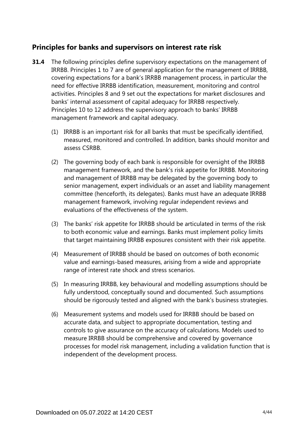## **Principles for banks and supervisors on interest rate risk**

- **31.4** The following principles define supervisory expectations on the management of IRRBB. Principles 1 to 7 are of general application for the management of IRRBB, covering expectations for a bank's IRRBB management process, in particular the need for effective IRRBB identification, measurement, monitoring and control activities. Principles 8 and 9 set out the expectations for market disclosures and banks' internal assessment of capital adequacy for IRRBB respectively. Principles 10 to 12 address the supervisory approach to banks' IRRBB management framework and capital adequacy.
	- (1) IRRBB is an important risk for all banks that must be specifically identified, measured, monitored and controlled. In addition, banks should monitor and assess CSRBB.
	- (2) The governing body of each bank is responsible for oversight of the IRRBB management framework, and the bank's risk appetite for IRRBB. Monitoring and management of IRRBB may be delegated by the governing body to senior management, expert individuals or an asset and liability management committee (henceforth, its delegates). Banks must have an adequate IRRBB management framework, involving regular independent reviews and evaluations of the effectiveness of the system.
	- (3) The banks' risk appetite for IRRBB should be articulated in terms of the risk to both economic value and earnings. Banks must implement policy limits that target maintaining IRRBB exposures consistent with their risk appetite.
	- (4) Measurement of IRRBB should be based on outcomes of both economic value and earnings-based measures, arising from a wide and appropriate range of interest rate shock and stress scenarios.
	- (5) In measuring IRRBB, key behavioural and modelling assumptions should be fully understood, conceptually sound and documented. Such assumptions should be rigorously tested and aligned with the bank's business strategies.
	- (6) Measurement systems and models used for IRRBB should be based on accurate data, and subject to appropriate documentation, testing and controls to give assurance on the accuracy of calculations. Models used to measure IRRBB should be comprehensive and covered by governance processes for model risk management, including a validation function that is independent of the development process.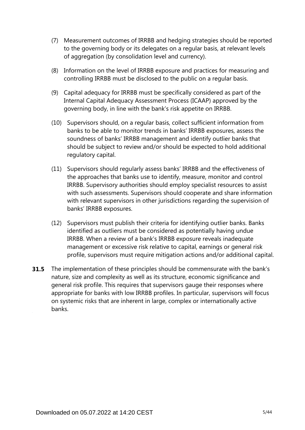- (7) Measurement outcomes of IRRBB and hedging strategies should be reported to the governing body or its delegates on a regular basis, at relevant levels of aggregation (by consolidation level and currency).
- (8) Information on the level of IRRBB exposure and practices for measuring and controlling IRRBB must be disclosed to the public on a regular basis.
- (9) Capital adequacy for IRRBB must be specifically considered as part of the Internal Capital Adequacy Assessment Process (ICAAP) approved by the governing body, in line with the bank's risk appetite on IRRBB.
- (10) Supervisors should, on a regular basis, collect sufficient information from banks to be able to monitor trends in banks' IRRBB exposures, assess the soundness of banks' IRRBB management and identify outlier banks that should be subject to review and/or should be expected to hold additional regulatory capital.
- (11) Supervisors should regularly assess banks' IRRBB and the effectiveness of the approaches that banks use to identify, measure, monitor and control IRRBB. Supervisory authorities should employ specialist resources to assist with such assessments. Supervisors should cooperate and share information with relevant supervisors in other jurisdictions regarding the supervision of banks' IRRBB exposures.
- (12) Supervisors must publish their criteria for identifying outlier banks. Banks identified as outliers must be considered as potentially having undue IRRBB. When a review of a bank's IRRBB exposure reveals inadequate management or excessive risk relative to capital, earnings or general risk profile, supervisors must require mitigation actions and/or additional capital.
- **31.5** The implementation of these principles should be commensurate with the bank's nature, size and complexity as well as its structure, economic significance and general risk profile. This requires that supervisors gauge their responses where appropriate for banks with low IRRBB profiles. In particular, supervisors will focus on systemic risks that are inherent in large, complex or internationally active banks.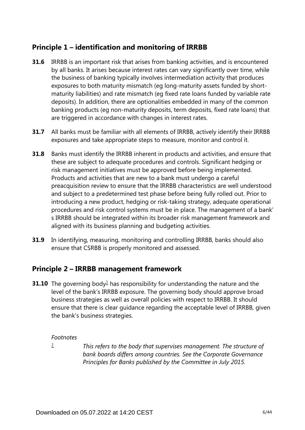# **Principle 1 – identification and monitoring of IRRBB**

- **31.6** IRRBB is an important risk that arises from banking activities, and is encountered by all banks. It arises because interest rates can vary significantly over time, while the business of banking typically involves intermediation activity that produces exposures to both maturity mismatch (eg long-maturity assets funded by shortmaturity liabilities) and rate mismatch (eg fixed rate loans funded by variable rate deposits). In addition, there are optionalities embedded in many of the common banking products (eg non-maturity deposits, term deposits, fixed rate loans) that are triggered in accordance with changes in interest rates.
- **31.7** All banks must be familiar with all elements of IRRBB, actively identify their IRRBB exposures and take appropriate steps to measure, monitor and control it.
- Banks must identify the IRRBB inherent in products and activities, and ensure that these are subject to adequate procedures and controls. Significant hedging or risk management initiatives must be approved before being implemented. Products and activities that are new to a bank must undergo a careful preacquisition review to ensure that the IRRBB characteristics are well understood and subject to a predetermined test phase before being fully rolled out. Prior to introducing a new product, hedging or risk-taking strategy, adequate operational procedures and risk control systems must be in place. The management of a bank' s IRRBB should be integrated within its broader risk management framework and aligned with its business planning and budgeting activities. **31.8**
- In identifying, measuring, monitoring and controlling IRRBB, banks should also ensure that CSRBB is properly monitored and assessed. **31.9**

## **Principle 2 – IRRBB management framework**

<span id="page-5-1"></span>**3[1](#page-5-0).10** The governing body $\frac{1}{2}$  has responsibility for understanding the nature and the level of the bank's IRRBB exposure. The governing body should approve broad business strategies as well as overall policies with respect to IRRBB. It should ensure that there is clear guidance regarding the acceptable level of IRRBB, given the bank's business strategies.

## *Footnotes*

<span id="page-5-0"></span>*[1](#page-5-1)*

*This refers to the body that supervises management. The structure of bank boards differs among countries. See the Corporate Governance Principles for Banks published by the Committee in July 2015.*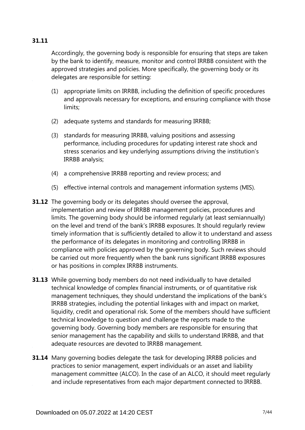## **31.11**

Accordingly, the governing body is responsible for ensuring that steps are taken by the bank to identify, measure, monitor and control IRRBB consistent with the approved strategies and policies. More specifically, the governing body or its delegates are responsible for setting:

- (1) appropriate limits on IRRBB, including the definition of specific procedures and approvals necessary for exceptions, and ensuring compliance with those limits;
- (2) adequate systems and standards for measuring IRRBB;
- (3) standards for measuring IRRBB, valuing positions and assessing performance, including procedures for updating interest rate shock and stress scenarios and key underlying assumptions driving the institution's IRRBB analysis;
- (4) a comprehensive IRRBB reporting and review process; and
- (5) effective internal controls and management information systems (MIS).
- **31.12** The governing body or its delegates should oversee the approval, implementation and review of IRRBB management policies, procedures and limits. The governing body should be informed regularly (at least semiannually) on the level and trend of the bank's IRRBB exposures. It should regularly review timely information that is sufficiently detailed to allow it to understand and assess the performance of its delegates in monitoring and controlling IRRBB in compliance with policies approved by the governing body. Such reviews should be carried out more frequently when the bank runs significant IRRBB exposures or has positions in complex IRRBB instruments.
- **31.13** While governing body members do not need individually to have detailed technical knowledge of complex financial instruments, or of quantitative risk management techniques, they should understand the implications of the bank's IRRBB strategies, including the potential linkages with and impact on market, liquidity, credit and operational risk. Some of the members should have sufficient technical knowledge to question and challenge the reports made to the governing body. Governing body members are responsible for ensuring that senior management has the capability and skills to understand IRRBB, and that adequate resources are devoted to IRRBB management.
- **31.14** Many governing bodies delegate the task for developing IRRBB policies and practices to senior management, expert individuals or an asset and liability management committee (ALCO). In the case of an ALCO, it should meet regularly and include representatives from each major department connected to IRRBB.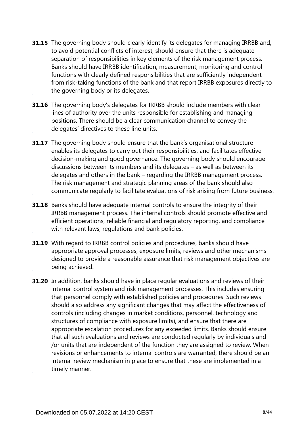- **31.15** The governing body should clearly identify its delegates for managing IRRBB and, to avoid potential conflicts of interest, should ensure that there is adequate separation of responsibilities in key elements of the risk management process. Banks should have IRRBB identification, measurement, monitoring and control functions with clearly defined responsibilities that are sufficiently independent from risk-taking functions of the bank and that report IRRBB exposures directly to the governing body or its delegates.
- **31.16** The governing body's delegates for IRRBB should include members with clear lines of authority over the units responsible for establishing and managing positions. There should be a clear communication channel to convey the delegates' directives to these line units.
- **31.17** The governing body should ensure that the bank's organisational structure enables its delegates to carry out their responsibilities, and facilitates effective decision-making and good governance. The governing body should encourage discussions between its members and its delegates – as well as between its delegates and others in the bank – regarding the IRRBB management process. The risk management and strategic planning areas of the bank should also communicate regularly to facilitate evaluations of risk arising from future business.
- **31.18** Banks should have adequate internal controls to ensure the integrity of their IRRBB management process. The internal controls should promote effective and efficient operations, reliable financial and regulatory reporting, and compliance with relevant laws, regulations and bank policies.
- **31.19** With regard to IRRBB control policies and procedures, banks should have appropriate approval processes, exposure limits, reviews and other mechanisms designed to provide a reasonable assurance that risk management objectives are being achieved.
- **31.20** In addition, banks should have in place regular evaluations and reviews of their internal control system and risk management processes. This includes ensuring that personnel comply with established policies and procedures. Such reviews should also address any significant changes that may affect the effectiveness of controls (including changes in market conditions, personnel, technology and structures of compliance with exposure limits), and ensure that there are appropriate escalation procedures for any exceeded limits. Banks should ensure that all such evaluations and reviews are conducted regularly by individuals and /or units that are independent of the function they are assigned to review. When revisions or enhancements to internal controls are warranted, there should be an internal review mechanism in place to ensure that these are implemented in a timely manner.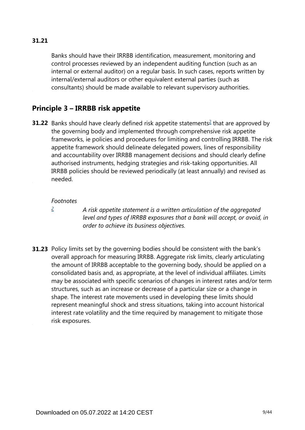## **31.21**

Banks should have their IRRBB identification, measurement, monitoring and control processes reviewed by an independent auditing function (such as an internal or external auditor) on a regular basis. In such cases, reports written by internal/external auditors or other equivalent external parties (such as consultants) should be made available to relevant supervisory authorities.

# **Principle 3 – IRRBB risk appetite**

<span id="page-8-1"></span>**31.[2](#page-8-0)2** Banks should have clearly defined risk appetite statements<sup>2</sup> that are approved by the governing body and implemented through comprehensive risk appetite frameworks, ie policies and procedures for limiting and controlling IRRBB. The risk appetite framework should delineate delegated powers, lines of responsibility and accountability over IRRBB management decisions and should clearly define authorised instruments, hedging strategies and risk-taking opportunities. All IRRBB policies should be reviewed periodically (at least annually) and revised as needed.

#### *Footnotes*

<span id="page-8-0"></span>*[2](#page-8-1)*

*A risk appetite statement is a written articulation of the aggregated level and types of IRRBB exposures that a bank will accept, or avoid, in order to achieve its business objectives.*

**31.23** Policy limits set by the governing bodies should be consistent with the bank's overall approach for measuring IRRBB. Aggregate risk limits, clearly articulating the amount of IRRBB acceptable to the governing body, should be applied on a consolidated basis and, as appropriate, at the level of individual affiliates. Limits may be associated with specific scenarios of changes in interest rates and/or term structures, such as an increase or decrease of a particular size or a change in shape. The interest rate movements used in developing these limits should represent meaningful shock and stress situations, taking into account historical interest rate volatility and the time required by management to mitigate those risk exposures.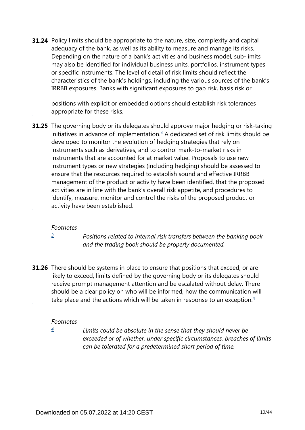**31.24** Policy limits should be appropriate to the nature, size, complexity and capital adequacy of the bank, as well as its ability to measure and manage its risks. Depending on the nature of a bank's activities and business model, sub-limits may also be identified for individual business units, portfolios, instrument types or specific instruments. The level of detail of risk limits should reflect the characteristics of the bank's holdings, including the various sources of the bank's IRRBB exposures. Banks with significant exposures to gap risk, basis risk or

positions with explicit or embedded options should establish risk tolerances appropriate for these risks.

<span id="page-9-1"></span>**31.25** The governing body or its delegates should approve major hedging or risk-taking initiatives in advance of implementation. $3$  A dedicated set of risk limits should be developed to monitor the evolution of hedging strategies that rely on instruments such as derivatives, and to control mark-to-market risks in instruments that are accounted for at market value. Proposals to use new instrument types or new strategies (including hedging) should be assessed to ensure that the resources required to establish sound and effective IRRBB management of the product or activity have been identified, that the proposed activities are in line with the bank's overall risk appetite, and procedures to identify, measure, monitor and control the risks of the proposed product or activity have been established.

#### *Footnotes*

*[3](#page-9-1)*

*Positions related to internal risk transfers between the banking book and the trading book should be properly documented.*

<span id="page-9-3"></span><span id="page-9-0"></span>**31.26** There should be systems in place to ensure that positions that exceed, or are likely to exceed, limits defined by the governing body or its delegates should receive prompt management attention and be escalated without delay. There should be a clear policy on who will be informed, how the communication will take place and the actions which will be taken in response to an exception. $4$ 

## *Footnotes*

<span id="page-9-2"></span>*[4](#page-9-3)*

*Limits could be absolute in the sense that they should never be exceeded or of whether, under specific circumstances, breaches of limits can be tolerated for a predetermined short period of time.*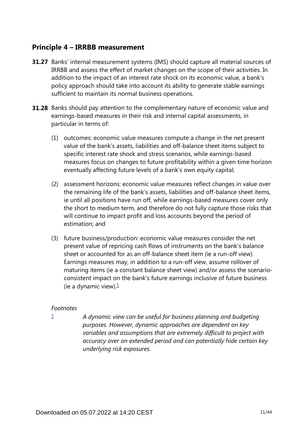## **Principle 4 – IRRBB measurement**

- **31.27** Banks' internal measurement systems (IMS) should capture all material sources of IRRBB and assess the effect of market changes on the scope of their activities. In addition to the impact of an interest rate shock on its economic value, a bank's policy approach should take into account its ability to generate stable earnings sufficient to maintain its normal business operations.
- **31.28** Banks should pay attention to the complementary nature of economic value and earnings-based measures in their risk and internal capital assessments, in particular in terms of:
	- (1) outcomes: economic value measures compute a change in the net present value of the bank's assets, liabilities and off-balance sheet items subject to specific interest rate shock and stress scenarios, while earnings-based measures focus on changes to future profitability within a given time horizon eventually affecting future levels of a bank's own equity capital;
	- (2) assessment horizons: economic value measures reflect changes in value over the remaining life of the bank's assets, liabilities and off-balance sheet items, ie until all positions have run off, while earnings-based measures cover only the short to medium term, and therefore do not fully capture those risks that will continue to impact profit and loss accounts beyond the period of estimation; and
	- (3) future business/production: economic value measures consider the net present value of repricing cash flows of instruments on the bank's balance sheet or accounted for as an off-balance sheet item (ie a run-off view). Earnings measures may, in addition to a run-off view, assume rollover of maturing items (ie a constant balance sheet view) and/or assess the scenarioconsistent impact on the bank's future earnings inclusive of future business (ie a dynamic view). $\frac{5}{7}$  $\frac{5}{7}$  $\frac{5}{7}$

## <span id="page-10-1"></span>*Footnotes*

<span id="page-10-0"></span>*[5](#page-10-1)*

*A dynamic view can be useful for business planning and budgeting purposes. However, dynamic approaches are dependent on key variables and assumptions that are extremely difficult to project with accuracy over an extended period and can potentially hide certain key underlying risk exposures.*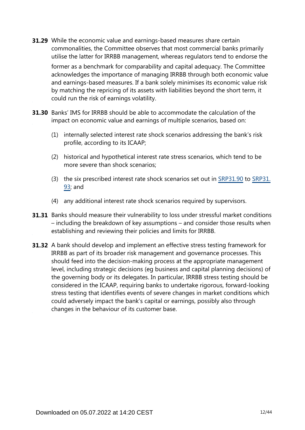- While the economic value and earnings-based measures share certain **31.29** commonalities, the Committee observes that most commercial banks primarily utilise the latter for IRRBB management, whereas regulators tend to endorse the former as a benchmark for comparability and capital adequacy. The Committee acknowledges the importance of managing IRRBB through both economic value and earnings-based measures. If a bank solely minimises its economic value risk by matching the repricing of its assets with liabilities beyond the short term, it could run the risk of earnings volatility.
- **31.30** Banks' IMS for IRRBB should be able to accommodate the calculation of the impact on economic value and earnings of multiple scenarios, based on:
	- (1) internally selected interest rate shock scenarios addressing the bank's risk profile, according to its ICAAP;
	- (2) historical and hypothetical interest rate stress scenarios, which tend to be more severe than shock scenarios;
	- (3) the six prescribed interest rate shock scenarios set out in [SRP31.90](https://www.bis.org/basel_framework/chapter/SRP/31.htm?tldate=20281012&inforce=20191215&published=20191215#paragraph_SRP_31_20191215_31_90) to [SRP31.](https://www.bis.org/basel_framework/chapter/SRP/31.htm?tldate=20281012&inforce=20191215&published=20191215#paragraph_SRP_31_20191215_31_93) [93;](https://www.bis.org/basel_framework/chapter/SRP/31.htm?tldate=20281012&inforce=20191215&published=20191215#paragraph_SRP_31_20191215_31_93) and
	- (4) any additional interest rate shock scenarios required by supervisors.
- **31.31** Banks should measure their vulnerability to loss under stressful market conditions – including the breakdown of key assumptions – and consider those results when establishing and reviewing their policies and limits for IRRBB.
- **31.32** A bank should develop and implement an effective stress testing framework for IRRBB as part of its broader risk management and governance processes. This should feed into the decision-making process at the appropriate management level, including strategic decisions (eg business and capital planning decisions) of the governing body or its delegates. In particular, IRRBB stress testing should be considered in the ICAAP, requiring banks to undertake rigorous, forward-looking stress testing that identifies events of severe changes in market conditions which could adversely impact the bank's capital or earnings, possibly also through changes in the behaviour of its customer base.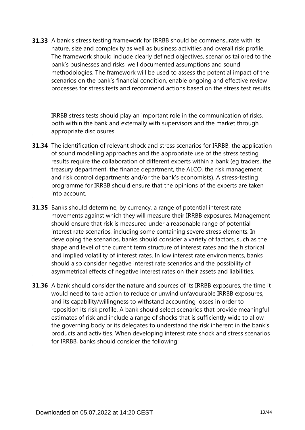**31.33** A bank's stress testing framework for IRRBB should be commensurate with its nature, size and complexity as well as business activities and overall risk profile. The framework should include clearly defined objectives, scenarios tailored to the bank's businesses and risks, well documented assumptions and sound methodologies. The framework will be used to assess the potential impact of the scenarios on the bank's financial condition, enable ongoing and effective review processes for stress tests and recommend actions based on the stress test results.

IRRBB stress tests should play an important role in the communication of risks, both within the bank and externally with supervisors and the market through appropriate disclosures.

- **31.34** The identification of relevant shock and stress scenarios for IRRBB, the application of sound modelling approaches and the appropriate use of the stress testing results require the collaboration of different experts within a bank (eg traders, the treasury department, the finance department, the ALCO, the risk management and risk control departments and/or the bank's economists). A stress-testing programme for IRRBB should ensure that the opinions of the experts are taken into account.
- **31.35** Banks should determine, by currency, a range of potential interest rate movements against which they will measure their IRRBB exposures. Management should ensure that risk is measured under a reasonable range of potential interest rate scenarios, including some containing severe stress elements. In developing the scenarios, banks should consider a variety of factors, such as the shape and level of the current term structure of interest rates and the historical and implied volatility of interest rates. In low interest rate environments, banks should also consider negative interest rate scenarios and the possibility of asymmetrical effects of negative interest rates on their assets and liabilities.
- **31.36** A bank should consider the nature and sources of its IRRBB exposures, the time it would need to take action to reduce or unwind unfavourable IRRBB exposures, and its capability/willingness to withstand accounting losses in order to reposition its risk profile. A bank should select scenarios that provide meaningful estimates of risk and include a range of shocks that is sufficiently wide to allow the governing body or its delegates to understand the risk inherent in the bank's products and activities. When developing interest rate shock and stress scenarios for IRRBB, banks should consider the following: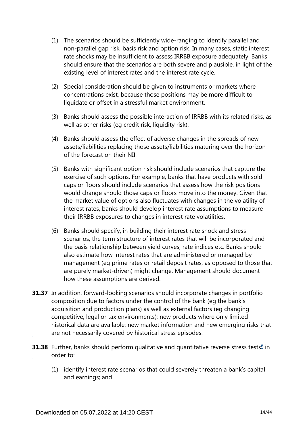- (1) The scenarios should be sufficiently wide-ranging to identify parallel and non-parallel gap risk, basis risk and option risk. In many cases, static interest rate shocks may be insufficient to assess IRRBB exposure adequately. Banks should ensure that the scenarios are both severe and plausible, in light of the existing level of interest rates and the interest rate cycle.
- (2) Special consideration should be given to instruments or markets where concentrations exist, because those positions may be more difficult to liquidate or offset in a stressful market environment.
- (3) Banks should assess the possible interaction of IRRBB with its related risks, as well as other risks (eg credit risk, liquidity risk).
- (4) Banks should assess the effect of adverse changes in the spreads of new assets/liabilities replacing those assets/liabilities maturing over the horizon of the forecast on their NII.
- (5) Banks with significant option risk should include scenarios that capture the exercise of such options. For example, banks that have products with sold caps or floors should include scenarios that assess how the risk positions would change should those caps or floors move into the money. Given that the market value of options also fluctuates with changes in the volatility of interest rates, banks should develop interest rate assumptions to measure their IRRBB exposures to changes in interest rate volatilities.
- (6) Banks should specify, in building their interest rate shock and stress scenarios, the term structure of interest rates that will be incorporated and the basis relationship between yield curves, rate indices etc. Banks should also estimate how interest rates that are administered or managed by management (eg prime rates or retail deposit rates, as opposed to those that are purely market-driven) might change. Management should document how these assumptions are derived.
- **31.37** In addition, forward-looking scenarios should incorporate changes in portfolio composition due to factors under the control of the bank (eg the bank's acquisition and production plans) as well as external factors (eg changing competitive, legal or tax environments); new products where only limited historical data are available; new market information and new emerging risks that are not necessarily covered by historical stress episodes.
- <span id="page-13-0"></span>**31.38** Further, banks should perform qualitative and quantitative reverse stress tests<sup>[6](#page-14-0)</sup> in order to:
	- (1) identify interest rate scenarios that could severely threaten a bank's capital and earnings; and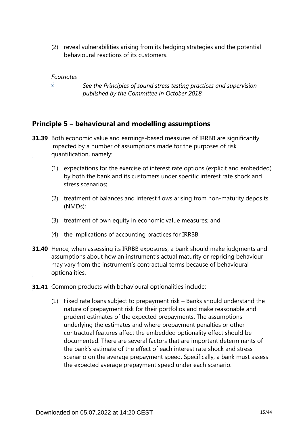(2) reveal vulnerabilities arising from its hedging strategies and the potential behavioural reactions of its customers.

### *Footnotes*

*[6](#page-13-0)*

*See the Principles of sound stress testing practices and supervision published by the Committee in October 2018.*

## <span id="page-14-0"></span>**Principle 5 – behavioural and modelling assumptions**

- **31.39** Both economic value and earnings-based measures of IRRBB are significantly impacted by a number of assumptions made for the purposes of risk quantification, namely:
	- (1) expectations for the exercise of interest rate options (explicit and embedded) by both the bank and its customers under specific interest rate shock and stress scenarios;
	- (2) treatment of balances and interest flows arising from non-maturity deposits (NMDs);
	- (3) treatment of own equity in economic value measures; and
	- (4) the implications of accounting practices for IRRBB.
- **31.40** Hence, when assessing its IRRBB exposures, a bank should make judgments and assumptions about how an instrument's actual maturity or repricing behaviour may vary from the instrument's contractual terms because of behavioural optionalities.
- **31.41** Common products with behavioural optionalities include:
	- (1) Fixed rate loans subject to prepayment risk Banks should understand the nature of prepayment risk for their portfolios and make reasonable and prudent estimates of the expected prepayments. The assumptions underlying the estimates and where prepayment penalties or other contractual features affect the embedded optionality effect should be documented. There are several factors that are important determinants of the bank's estimate of the effect of each interest rate shock and stress scenario on the average prepayment speed. Specifically, a bank must assess the expected average prepayment speed under each scenario.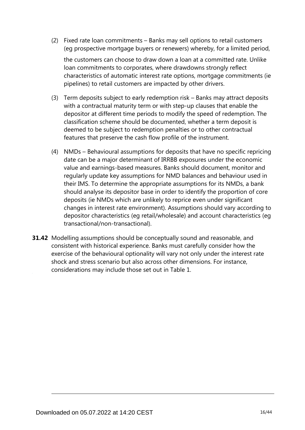(2) Fixed rate loan commitments – Banks may sell options to retail customers (eg prospective mortgage buyers or renewers) whereby, for a limited period,

the customers can choose to draw down a loan at a committed rate. Unlike loan commitments to corporates, where drawdowns strongly reflect characteristics of automatic interest rate options, mortgage commitments (ie pipelines) to retail customers are impacted by other drivers.

- (3) Term deposits subject to early redemption risk Banks may attract deposits with a contractual maturity term or with step-up clauses that enable the depositor at different time periods to modify the speed of redemption. The classification scheme should be documented, whether a term deposit is deemed to be subject to redemption penalties or to other contractual features that preserve the cash flow profile of the instrument.
- (4) NMDs Behavioural assumptions for deposits that have no specific repricing date can be a major determinant of IRRBB exposures under the economic value and earnings-based measures. Banks should document, monitor and regularly update key assumptions for NMD balances and behaviour used in their IMS. To determine the appropriate assumptions for its NMDs, a bank should analyse its depositor base in order to identify the proportion of core deposits (ie NMDs which are unlikely to reprice even under significant changes in interest rate environment). Assumptions should vary according to depositor characteristics (eg retail/wholesale) and account characteristics (eg transactional/non-transactional).
- **31.42** Modelling assumptions should be conceptually sound and reasonable, and consistent with historical experience. Banks must carefully consider how the exercise of the behavioural optionality will vary not only under the interest rate shock and stress scenario but also across other dimensions. For instance, considerations may include those set out in Table 1.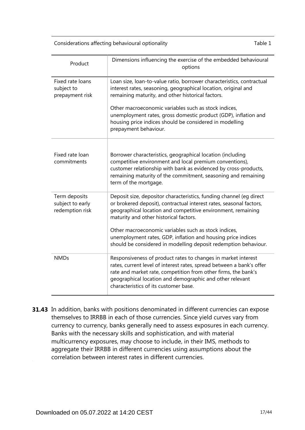Considerations affecting behavioural optionality Table 1

| Product                                              | Dimensions influencing the exercise of the embedded behavioural<br>options                                                                                                                                                                                                                                                                                                                                                                      |
|------------------------------------------------------|-------------------------------------------------------------------------------------------------------------------------------------------------------------------------------------------------------------------------------------------------------------------------------------------------------------------------------------------------------------------------------------------------------------------------------------------------|
| Fixed rate loans<br>subject to<br>prepayment risk    | Loan size, loan-to-value ratio, borrower characteristics, contractual<br>interest rates, seasoning, geographical location, original and<br>remaining maturity, and other historical factors.<br>Other macroeconomic variables such as stock indices,<br>unemployment rates, gross domestic product (GDP), inflation and<br>housing price indices should be considered in modelling<br>prepayment behaviour.                                     |
| Fixed rate loan<br>commitments                       | Borrower characteristics, geographical location (including<br>competitive environment and local premium conventions),<br>customer relationship with bank as evidenced by cross-products,<br>remaining maturity of the commitment, seasoning and remaining<br>term of the mortgage.                                                                                                                                                              |
| Term deposits<br>subject to early<br>redemption risk | Deposit size, depositor characteristics, funding channel (eg direct<br>or brokered deposit), contractual interest rates, seasonal factors,<br>geographical location and competitive environment, remaining<br>maturity and other historical factors.<br>Other macroeconomic variables such as stock indices,<br>unemployment rates, GDP, inflation and housing price indices<br>should be considered in modelling deposit redemption behaviour. |
| <b>NMDs</b>                                          | Responsiveness of product rates to changes in market interest<br>rates, current level of interest rates, spread between a bank's offer<br>rate and market rate, competition from other firms, the bank's<br>geographical location and demographic and other relevant<br>characteristics of its customer base.                                                                                                                                   |

**31.43** In addition, banks with positions denominated in different currencies can expose themselves to IRRBB in each of those currencies. Since yield curves vary from currency to currency, banks generally need to assess exposures in each currency. Banks with the necessary skills and sophistication, and with material multicurrency exposures, may choose to include, in their IMS, methods to aggregate their IRRBB in different currencies using assumptions about the correlation between interest rates in different currencies.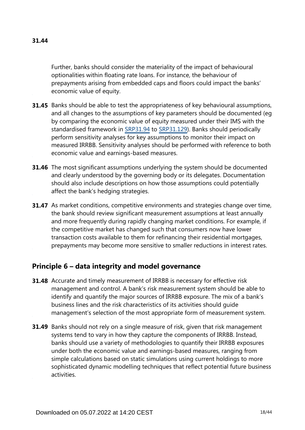Further, banks should consider the materiality of the impact of behavioural optionalities within floating rate loans. For instance, the behaviour of prepayments arising from embedded caps and floors could impact the banks' economic value of equity.

- **31.45** Banks should be able to test the appropriateness of key behavioural assumptions, and all changes to the assumptions of key parameters should be documented (eg by comparing the economic value of equity measured under their IMS with the standardised framework in [SRP31.94](https://www.bis.org/basel_framework/chapter/SRP/31.htm?tldate=20281012&inforce=20191215&published=20191215#paragraph_SRP_31_20191215_31_94) to [SRP31.129](https://www.bis.org/basel_framework/chapter/SRP/31.htm?tldate=20281012&inforce=20191215&published=20191215#paragraph_SRP_31_20191215_31_129)). Banks should periodically perform sensitivity analyses for key assumptions to monitor their impact on measured IRRBB. Sensitivity analyses should be performed with reference to both economic value and earnings-based measures.
- **31.46** The most significant assumptions underlying the system should be documented and clearly understood by the governing body or its delegates. Documentation should also include descriptions on how those assumptions could potentially affect the bank's hedging strategies.
- **31.47** As market conditions, competitive environments and strategies change over time, the bank should review significant measurement assumptions at least annually and more frequently during rapidly changing market conditions. For example, if the competitive market has changed such that consumers now have lower transaction costs available to them for refinancing their residential mortgages, prepayments may become more sensitive to smaller reductions in interest rates.

# **Principle 6 – data integrity and model governance**

- **31.48** Accurate and timely measurement of IRRBB is necessary for effective risk management and control. A bank's risk measurement system should be able to identify and quantify the major sources of IRRBB exposure. The mix of a bank's business lines and the risk characteristics of its activities should guide management's selection of the most appropriate form of measurement system.
- **31.49** Banks should not rely on a single measure of risk, given that risk management systems tend to vary in how they capture the components of IRRBB. Instead, banks should use a variety of methodologies to quantify their IRRBB exposures under both the economic value and earnings-based measures, ranging from simple calculations based on static simulations using current holdings to more sophisticated dynamic modelling techniques that reflect potential future business activities.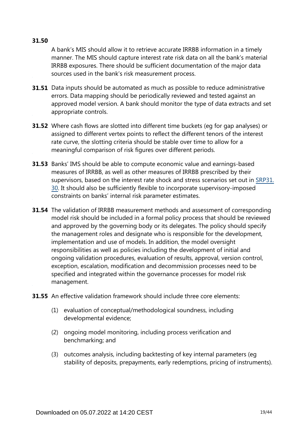## **31.50**

A bank's MIS should allow it to retrieve accurate IRRBB information in a timely manner. The MIS should capture interest rate risk data on all the bank's material IRRBB exposures. There should be sufficient documentation of the major data sources used in the bank's risk measurement process.

- **31.51** Data inputs should be automated as much as possible to reduce administrative errors. Data mapping should be periodically reviewed and tested against an approved model version. A bank should monitor the type of data extracts and set appropriate controls.
- Where cash flows are slotted into different time buckets (eg for gap analyses) or **31.52** assigned to different vertex points to reflect the different tenors of the interest rate curve, the slotting criteria should be stable over time to allow for a meaningful comparison of risk figures over different periods.
- **31.53** Banks' IMS should be able to compute economic value and earnings-based measures of IRRBB, as well as other measures of IRRBB prescribed by their supervisors, based on the interest rate shock and stress scenarios set out in [SRP31.](https://www.bis.org/basel_framework/chapter/SRP/31.htm?tldate=20281012&inforce=20191215&published=20191215#paragraph_SRP_31_20191215_31_30) [30](https://www.bis.org/basel_framework/chapter/SRP/31.htm?tldate=20281012&inforce=20191215&published=20191215#paragraph_SRP_31_20191215_31_30). It should also be sufficiently flexible to incorporate supervisory-imposed constraints on banks' internal risk parameter estimates.
- **31.54** The validation of IRRBB measurement methods and assessment of corresponding model risk should be included in a formal policy process that should be reviewed and approved by the governing body or its delegates. The policy should specify the management roles and designate who is responsible for the development, implementation and use of models. In addition, the model oversight responsibilities as well as policies including the development of initial and ongoing validation procedures, evaluation of results, approval, version control, exception, escalation, modification and decommission processes need to be specified and integrated within the governance processes for model risk management.
- **31.55** An effective validation framework should include three core elements:
	- (1) evaluation of conceptual/methodological soundness, including developmental evidence;
	- (2) ongoing model monitoring, including process verification and benchmarking; and
	- (3) outcomes analysis, including backtesting of key internal parameters (eg stability of deposits, prepayments, early redemptions, pricing of instruments).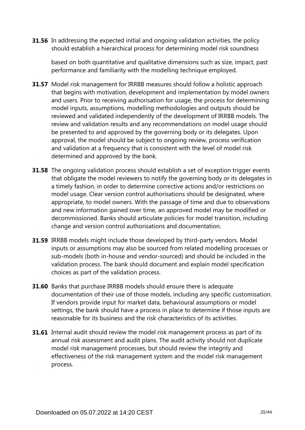**31.56** In addressing the expected initial and ongoing validation activities, the policy should establish a hierarchical process for determining model risk soundness

based on both quantitative and qualitative dimensions such as size, impact, past performance and familiarity with the modelling technique employed.

- **31.57** Model risk management for IRRBB measures should follow a holistic approach that begins with motivation, development and implementation by model owners and users. Prior to receiving authorisation for usage, the process for determining model inputs, assumptions, modelling methodologies and outputs should be reviewed and validated independently of the development of IRRBB models. The review and validation results and any recommendations on model usage should be presented to and approved by the governing body or its delegates. Upon approval, the model should be subject to ongoing review, process verification and validation at a frequency that is consistent with the level of model risk determined and approved by the bank.
- **31.58** The ongoing validation process should establish a set of exception trigger events that obligate the model reviewers to notify the governing body or its delegates in a timely fashion, in order to determine corrective actions and/or restrictions on model usage. Clear version control authorisations should be designated, where appropriate, to model owners. With the passage of time and due to observations and new information gained over time, an approved model may be modified or decommissioned. Banks should articulate policies for model transition, including change and version control authorisations and documentation.
- **31.59** IRRBB models might include those developed by third-party vendors. Model inputs or assumptions may also be sourced from related modelling processes or sub-models (both in-house and vendor-sourced) and should be included in the validation process. The bank should document and explain model specification choices as part of the validation process.
- **31.60** Banks that purchase IRRBB models should ensure there is adequate documentation of their use of those models, including any specific customisation. If vendors provide input for market data, behavioural assumptions or model settings, the bank should have a process in place to determine if those inputs are reasonable for its business and the risk characteristics of its activities.
- **31.61** Internal audit should review the model risk management process as part of its annual risk assessment and audit plans. The audit activity should not duplicate model risk management processes, but should review the integrity and effectiveness of the risk management system and the model risk management process.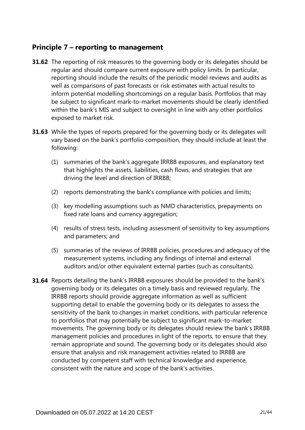## **Principle 7 – reporting to management**

- **31.62** The reporting of risk measures to the governing body or its delegates should be regular and should compare current exposure with policy limits. In particular, reporting should include the results of the periodic model reviews and audits as well as comparisons of past forecasts or risk estimates with actual results to inform potential modelling shortcomings on a regular basis. Portfolios that may be subject to significant mark-to-market movements should be clearly identified within the bank's MIS and subject to oversight in line with any other portfolios exposed to market risk.
- **31.63** While the types of reports prepared for the governing body or its delegates will vary based on the bank's portfolio composition, they should include at least the following:
	- (1) summaries of the bank's aggregate IRRBB exposures, and explanatory text that highlights the assets, liabilities, cash flows, and strategies that are driving the level and direction of IRRBB;
	- (2) reports demonstrating the bank's compliance with policies and limits;
	- (3) key modelling assumptions such as NMD characteristics, prepayments on fixed rate loans and currency aggregation;
	- (4) results of stress tests, including assessment of sensitivity to key assumptions and parameters; and
	- (5) summaries of the reviews of IRRBB policies, procedures and adequacy of the measurement systems, including any findings of internal and external auditors and/or other equivalent external parties (such as consultants).
- **31.64** Reports detailing the bank's IRRBB exposures should be provided to the bank's governing body or its delegates on a timely basis and reviewed regularly. The IRRBB reports should provide aggregate information as well as sufficient supporting detail to enable the governing body or its delegates to assess the sensitivity of the bank to changes in market conditions, with particular reference to portfolios that may potentially be subject to significant mark-to-market movements. The governing body or its delegates should review the bank's IRRBB management policies and procedures in light of the reports, to ensure that they remain appropriate and sound. The governing body or its delegates should also ensure that analysis and risk management activities related to IRRBB are conducted by competent staff with technical knowledge and experience, consistent with the nature and scope of the bank's activities.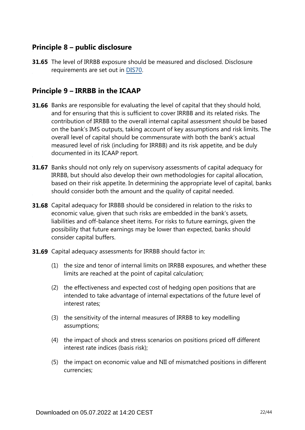# **Principle 8 – public disclosure**

**31.65** The level of IRRBB exposure should be measured and disclosed. Disclosure requirements are set out in [DIS70](https://www.bis.org/basel_framework/chapter/DIS/70.htm?tldate=20281012&inforce=20191215&published=20191215).

# **Principle 9 – IRRBB in the ICAAP**

- **31.66** Banks are responsible for evaluating the level of capital that they should hold, and for ensuring that this is sufficient to cover IRRBB and its related risks. The contribution of IRRBB to the overall internal capital assessment should be based on the bank's IMS outputs, taking account of key assumptions and risk limits. The overall level of capital should be commensurate with both the bank's actual measured level of risk (including for IRRBB) and its risk appetite, and be duly documented in its ICAAP report.
- **31.67** Banks should not only rely on supervisory assessments of capital adequacy for IRRBB, but should also develop their own methodologies for capital allocation, based on their risk appetite. In determining the appropriate level of capital, banks should consider both the amount and the quality of capital needed.
- **31.68** Capital adequacy for IRBBB should be considered in relation to the risks to economic value, given that such risks are embedded in the bank's assets, liabilities and off-balance sheet items. For risks to future earnings, given the possibility that future earnings may be lower than expected, banks should consider capital buffers.
- **31.69** Capital adequacy assessments for IRRBB should factor in:
	- (1) the size and tenor of internal limits on IRRBB exposures, and whether these limits are reached at the point of capital calculation;
	- (2) the effectiveness and expected cost of hedging open positions that are intended to take advantage of internal expectations of the future level of interest rates;
	- (3) the sensitivity of the internal measures of IRRBB to key modelling assumptions;
	- (4) the impact of shock and stress scenarios on positions priced off different interest rate indices (basis risk);
	- (5) the impact on economic value and NII of mismatched positions in different currencies;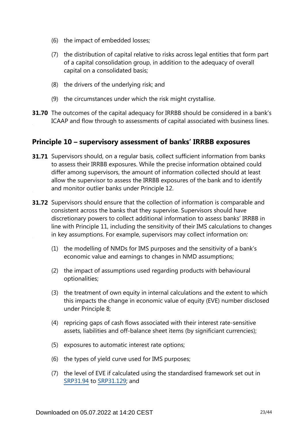- (6) the impact of embedded losses;
- (7) the distribution of capital relative to risks across legal entities that form part of a capital consolidation group, in addition to the adequacy of overall capital on a consolidated basis;
- (8) the drivers of the underlying risk; and
- (9) the circumstances under which the risk might crystallise.
- **31.70** The outcomes of the capital adequacy for IRRBB should be considered in a bank's ICAAP and flow through to assessments of capital associated with business lines.

## **Principle 10 – supervisory assessment of banks' IRRBB exposures**

- **31.71** Supervisors should, on a regular basis, collect sufficient information from banks to assess their IRRBB exposures. While the precise information obtained could differ among supervisors, the amount of information collected should at least allow the supervisor to assess the IRRBB exposures of the bank and to identify and monitor outlier banks under Principle 12.
- **31.72** Supervisors should ensure that the collection of information is comparable and consistent across the banks that they supervise. Supervisors should have discretionary powers to collect additional information to assess banks' IRRBB in line with Principle 11, including the sensitivity of their IMS calculations to changes in key assumptions. For example, supervisors may collect information on:
	- (1) the modelling of NMDs for IMS purposes and the sensitivity of a bank's economic value and earnings to changes in NMD assumptions;
	- (2) the impact of assumptions used regarding products with behavioural optionalities;
	- (3) the treatment of own equity in internal calculations and the extent to which this impacts the change in economic value of equity (EVE) number disclosed under Principle 8;
	- (4) repricing gaps of cash flows associated with their interest rate-sensitive assets, liabilities and off-balance sheet items (by significiant currencies);
	- (5) exposures to automatic interest rate options;
	- (6) the types of yield curve used for IMS purposes;
	- (7) the level of EVE if calculated using the standardised framework set out in [SRP31.94](https://www.bis.org/basel_framework/chapter/SRP/31.htm?tldate=20281012&inforce=20191215&published=20191215#paragraph_SRP_31_20191215_31_94) to [SRP31.129](https://www.bis.org/basel_framework/chapter/SRP/31.htm?tldate=20281012&inforce=20191215&published=20191215#paragraph_SRP_31_20191215_31_129); and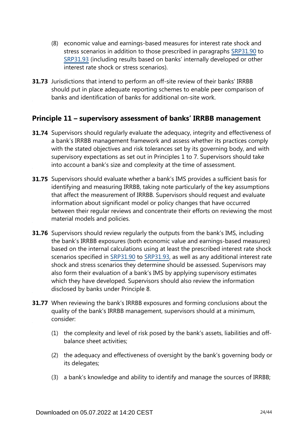- (8) economic value and earnings-based measures for interest rate shock and stress scenarios in addition to those prescribed in paragraphs [SRP31.90](https://www.bis.org/basel_framework/chapter/SRP/31.htm?tldate=20281012&inforce=20191215&published=20191215#paragraph_SRP_31_20191215_31_90) to [SRP31.93](https://www.bis.org/basel_framework/chapter/SRP/31.htm?tldate=20281012&inforce=20191215&published=20191215#paragraph_SRP_31_20191215_31_93) (including results based on banks' internally developed or other interest rate shock or stress scenarios).
- **31.73** Jurisdictions that intend to perform an off-site review of their banks' IRRBB should put in place adequate reporting schemes to enable peer comparison of banks and identification of banks for additional on-site work.

## **Principle 11 – supervisory assessment of banks' IRRBB management**

- **31.74** Supervisors should regularly evaluate the adequacy, integrity and effectiveness of a bank's IRRBB management framework and assess whether its practices comply with the stated objectives and risk tolerances set by its governing body, and with supervisory expectations as set out in Principles 1 to 7. Supervisors should take into account a bank's size and complexity at the time of assessment.
- **31.75** Supervisors should evaluate whether a bank's IMS provides a sufficient basis for identifying and measuring IRRBB, taking note particularly of the key assumptions that affect the measurement of IRRBB. Supervisors should request and evaluate information about significant model or policy changes that have occurred between their regular reviews and concentrate their efforts on reviewing the most material models and policies.
- **31.76** Supervisors should review regularly the outputs from the bank's IMS, including the bank's IRRBB exposures (both economic value and earnings-based measures) based on the internal calculations using at least the prescribed interest rate shock scenarios specified in [SRP31.90](https://www.bis.org/basel_framework/chapter/SRP/31.htm?tldate=20281012&inforce=20191215&published=20191215#paragraph_SRP_31_20191215_31_90) to [SRP31.93,](https://www.bis.org/basel_framework/chapter/SRP/31.htm?tldate=20281012&inforce=20191215&published=20191215#paragraph_SRP_31_20191215_31_93) as well as any additional interest rate shock and stress scenarios they determine should be assessed. Supervisors may also form their evaluation of a bank's IMS by applying supervisory estimates which they have developed. Supervisors should also review the information disclosed by banks under Principle 8.
- **31.77** When reviewing the bank's IRRBB exposures and forming conclusions about the quality of the bank's IRRBB management, supervisors should at a minimum, consider:
	- (1) the complexity and level of risk posed by the bank's assets, liabilities and offbalance sheet activities;
	- (2) the adequacy and effectiveness of oversight by the bank's governing body or its delegates;
	- (3) a bank's knowledge and ability to identify and manage the sources of IRRBB;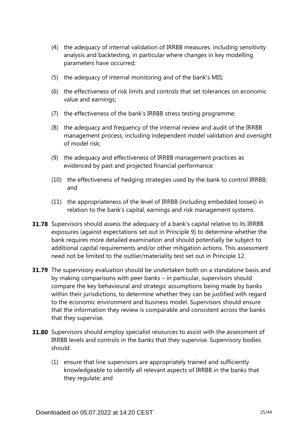- (4) the adequacy of internal validation of IRRBB measures, including sensitivity analysis and backtesting, in particular where changes in key modelling parameters have occurred;
- (5) the adequacy of internal monitoring and of the bank's MIS;
- (6) the effectiveness of risk limits and controls that set tolerances on economic value and earnings;
- (7) the effectiveness of the bank's IRRBB stress testing programme;
- (8) the adequacy and frequency of the internal review and audit of the IRRBB management process, including independent model validation and oversight of model risk;
- (9) the adequacy and effectiveness of IRRBB management practices as evidenced by past and projected financial performance;
- (10) the effectiveness of hedging strategies used by the bank to control IRRBB; and
- (11) the appropriateness of the level of IRRBB (including embedded losses) in relation to the bank's capital, earnings and risk management systems.
- **31.78** Supervisors should assess the adequacy of a bank's capital relative to its IRRBB exposures (against expectations set out in Principle 9) to determine whether the bank requires more detailed examination and should potentially be subject to additional capital requirements and/or other mitigation actions. This assessment need not be limited to the outlier/materiality test set out in Principle 12.
- **31.79** The supervisory evaluation should be undertaken both on a standalone basis and by making comparisons with peer banks – in particular, supervisors should compare the key behavioural and strategic assumptions being made by banks within their jurisdictions, to determine whether they can be justified with regard to the economic environment and business model. Supervisors should ensure that the information they review is comparable and consistent across the banks that they supervise.
- **31.80** Supervisors should employ specialist resources to assist with the assessment of IRRBB levels and controls in the banks that they supervise. Supervisory bodies should:
	- (1) ensure that line supervisors are appropriately trained and sufficiently knowledgeable to identify all relevant aspects of IRRBB in the banks that they regulate; and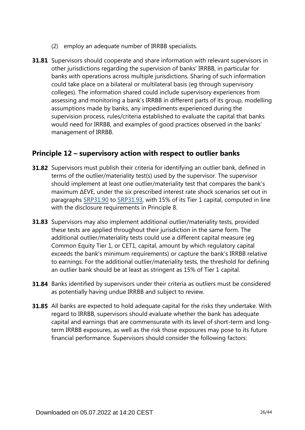- (2) employ an adequate number of IRRBB specialists.
- **31.81** Supervisors should cooperate and share information with relevant supervisors in other jurisdictions regarding the supervision of banks' IRRBB, in particular for banks with operations across multiple jurisdictions. Sharing of such information could take place on a bilateral or multilateral basis (eg through supervisory colleges). The information shared could include supervisory experiences from assessing and monitoring a bank's IRRBB in different parts of its group, modelling assumptions made by banks, any impediments experienced during the supervision process, rules/criteria established to evaluate the capital that banks would need for IRRBB, and examples of good practices observed in the banks' management of IRRBB.

## **Principle 12 – supervisory action with respect to outlier banks**

- **31.82** Supervisors must publish their criteria for identifying an outlier bank, defined in terms of the outlier/materiality test(s) used by the supervisor. The supervisor should implement at least one outlier/materiality test that compares the bank's maximum ∆EVE, under the six prescribed interest rate shock scenarios set out in paragraphs [SRP31.90](https://www.bis.org/basel_framework/chapter/SRP/31.htm?tldate=20281012&inforce=20191215&published=20191215#paragraph_SRP_31_20191215_31_90) to [SRP31.93](https://www.bis.org/basel_framework/chapter/SRP/31.htm?tldate=20281012&inforce=20191215&published=20191215#paragraph_SRP_31_20191215_31_93), with 15% of its Tier 1 capital, computed in line with the disclosure requirements in Principle 8.
- **31.83** Supervisors may also implement additional outlier/materiality tests, provided these tests are applied throughout their jurisdiction in the same form. The additional outlier/materiality tests could use a different capital measure (eg Common Equity Tier 1, or CET1, capital, amount by which regulatory capital exceeds the bank's minimum requirements) or capture the bank's IRRBB relative to earnings. For the additional outlier/materiality tests, the threshold for defining an outlier bank should be at least as stringent as 15% of Tier 1 capital.
- **31.84** Banks identified by supervisors under their criteria as outliers must be considered as potentially having undue IRRBB and subject to review.
- **31.85** All banks are expected to hold adequate capital for the risks they undertake. With regard to IRRBB, supervisors should evaluate whether the bank has adequate capital and earnings that are commensurate with its level of short-term and longterm IRRBB exposures, as well as the risk those exposures may pose to its future financial performance. Supervisors should consider the following factors: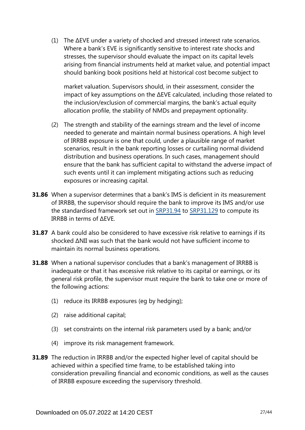(1) The ∆EVE under a variety of shocked and stressed interest rate scenarios. Where a bank's EVE is significantly sensitive to interest rate shocks and stresses, the supervisor should evaluate the impact on its capital levels arising from financial instruments held at market value, and potential impact should banking book positions held at historical cost become subject to

market valuation. Supervisors should, in their assessment, consider the impact of key assumptions on the ∆EVE calculated, including those related to the inclusion/exclusion of commercial margins, the bank's actual equity allocation profile, the stability of NMDs and prepayment optionality.

- (2) The strength and stability of the earnings stream and the level of income needed to generate and maintain normal business operations. A high level of IRRBB exposure is one that could, under a plausible range of market scenarios, result in the bank reporting losses or curtailing normal dividend distribution and business operations. In such cases, management should ensure that the bank has sufficient capital to withstand the adverse impact of such events until it can implement mitigating actions such as reducing exposures or increasing capital.
- **31.86** When a supervisor determines that a bank's IMS is deficient in its measurement of IRRBB, the supervisor should require the bank to improve its IMS and/or use the standardised framework set out in [SRP31.94](https://www.bis.org/basel_framework/chapter/SRP/31.htm?tldate=20281012&inforce=20191215&published=20191215#paragraph_SRP_31_20191215_31_94) to [SRP31.129](https://www.bis.org/basel_framework/chapter/SRP/31.htm?tldate=20281012&inforce=20191215&published=20191215#paragraph_SRP_31_20191215_31_129) to compute its IRRBB in terms of ∆EVE.
- **31.87** A bank could also be considered to have excessive risk relative to earnings if its shocked ΔNII was such that the bank would not have sufficient income to maintain its normal business operations.
- When a national supervisor concludes that a bank's management of IRRBB is **31.88** inadequate or that it has excessive risk relative to its capital or earnings, or its general risk profile, the supervisor must require the bank to take one or more of the following actions:
	- (1) reduce its IRRBB exposures (eg by hedging);
	- (2) raise additional capital;
	- (3) set constraints on the internal risk parameters used by a bank; and/or
	- (4) improve its risk management framework.
- **31.89** The reduction in IRRBB and/or the expected higher level of capital should be achieved within a specified time frame, to be established taking into consideration prevailing financial and economic conditions, as well as the causes of IRRBB exposure exceeding the supervisory threshold.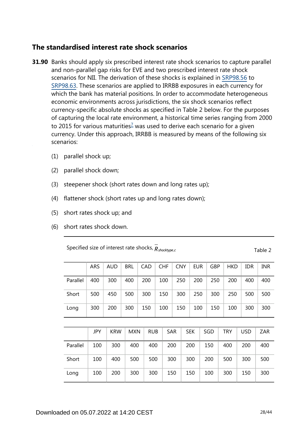## **The standardised interest rate shock scenarios**

- <span id="page-27-0"></span>**31.90** Banks should apply six prescribed interest rate shock scenarios to capture parallel and non-parallel gap risks for EVE and two prescribed interest rate shock scenarios for NII. The derivation of these shocks is explained in [SRP98.56](https://www.bis.org/basel_framework/chapter/SRP/98.htm?tldate=20281012&inforce=20191215&published=20191215#paragraph_SRP_98_20191215_98_56) to [SRP98.63.](https://www.bis.org/basel_framework/chapter/SRP/98.htm?tldate=20281012&inforce=20191215&published=20191215#paragraph_SRP_98_20191215_98_63) These scenarios are applied to IRRBB exposures in each currency for which the bank has material positions. In order to accommodate heterogeneous economic environments across jurisdictions, the six shock scenarios reflect currency-specific absolute shocks as specified in Table 2 below. For the purposes of capturing the local rate environment, a historical time series ranging from 2000 to 2015 for various maturities<sup> $7$ </sup> was used to derive each scenario for a given currency. Under this approach, IRRBB is measured by means of the following six scenarios:
	- (1) parallel shock up;
	- (2) parallel shock down;
	- (3) steepener shock (short rates down and long rates up);
	- (4) flattener shock (short rates up and long rates down);
	- (5) short rates shock up; and
	- (6) short rates shock down.

Specified size of interest rate shocks,  $\overline{R}_{shocktype,c}$  Table 2

|          | ARS | <b>AUD</b> | <b>BRL</b> | CAD        |  | <b>CHF</b> | <b>CNY</b> |  | <b>EUR</b> |  | <b>GBP</b> | <b>HKD</b> | <b>IDR</b> | <b>INR</b> |
|----------|-----|------------|------------|------------|--|------------|------------|--|------------|--|------------|------------|------------|------------|
| Parallel | 400 | 300        | 400        | 200        |  | 100        | 250        |  | 200        |  | 250        | 200        | 400        | 400        |
| Short    | 500 | 450        | 500        | 300        |  | 150        | 300        |  | 250        |  | 300        | 250        | 500        | 500        |
| Long     | 300 | 200        | 300        | 150        |  | 100        | 150        |  | 100        |  | 150        | 100        | 300        | 300        |
|          |     |            |            |            |  |            |            |  |            |  |            |            |            |            |
|          | JPY | <b>KRW</b> | <b>MXN</b> | <b>RUB</b> |  | <b>SAR</b> |            |  | <b>SEK</b> |  | SGD        | <b>TRY</b> | <b>USD</b> | <b>ZAR</b> |
| Parallel | 100 | 300        | 400        | 400        |  | 200        |            |  | 200        |  | 150        | 400        | 200        | 400        |
| Short    | 100 | 400        | 500        | 500        |  | 300        |            |  | 300<br>200 |  |            | 500        | 300        | 500        |
| Long     | 100 | 200        | 300        | 300        |  | 150        |            |  | 150        |  | 100        | 300        | 150        | 300        |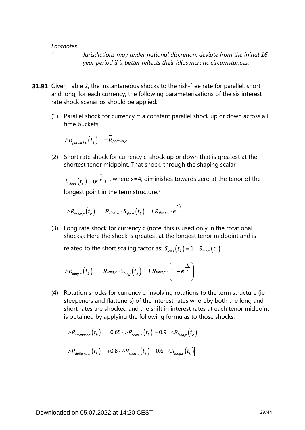*[7](#page-27-0)*

*Jurisdictions may under national discretion, deviate from the initial 16 year period if it better reflects their idiosyncratic circumstances.*

- <span id="page-28-0"></span>**31.91** Given Table 2, the instantaneous shocks to the risk-free rate for parallel, short and long, for each currency, the following parameterisations of the six interest rate shock scenarios should be applied:
	- (1) Parallel shock for currency c: a constant parallel shock up or down across all time buckets.

$$
\triangle R_{\textit{parallel},c} \left(t_{k} \right) = \pm \overline{R}_{\textit{parallel},c}
$$

<span id="page-28-1"></span>(2) Short rate shock for currency c: shock up or down that is greatest at the shortest tenor midpoint. That shock, through the shaping scalar

 $S_{short}(t_{\nu}) = (e^{\frac{-t_{\nu}}{x}})$ , where x=4, diminishes towards zero at the tenor of the longest point in the term structure. $8$ 

$$
\triangle R_{short,c}\left(t_{k}\right)=\pm\overset{-}{R}_{short,c}\cdot S_{short}\left(t_{k}\right)=\pm\overset{-}{R}_{short,c}\cdot e^{\frac{-t_{k}}{\times}}
$$

(3) Long rate shock for currency c (note: this is used only in the rotational shocks): Here the shock is greatest at the longest tenor midpoint and is

related to the short scaling factor as:  $S_{long}(t_k) = 1 - S_{short}(t_k)$ .

$$
\triangle R_{long,c}\left(t_{k}\right)=\pm\overline{R}_{long,c}\cdot S_{long}\left(t_{k}\right)=\pm\overline{R}_{long,c}\cdot\left(1-e^{\frac{-t_{k}}{x}}\right)
$$

(4) Rotation shocks for currency c: involving rotations to the term structure (ie steepeners and flatteners) of the interest rates whereby both the long and short rates are shocked and the shift in interest rates at each tenor midpoint is obtained by applying the following formulas to those shocks:

$$
\Delta R_{steepner,c} (t_k) = -0.65 \cdot |\Delta R_{short,c} (t_k)| + 0.9 \cdot |\Delta R_{long,c} (t_k)|
$$
  

$$
\Delta R_{fatterer,c} (t_k) = +0.8 \cdot |\Delta R_{short,c} (t_k)| -0.6 \cdot |\Delta R_{long,c} (t_k)|
$$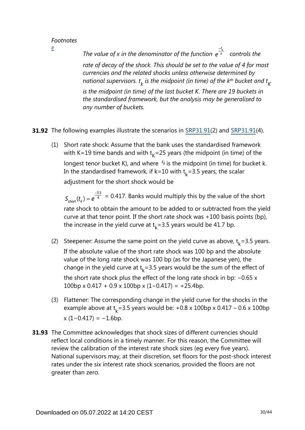<span id="page-29-0"></span>*[8](#page-28-1)*

*The value of x in the denominator of the function*  $e^{\frac{-t_k}{x}}$  *controls the rate of decay of the shock. This should be set to the value of 4 for most currencies and the related shocks unless otherwise determined by*   $\kappa$  *national supervisors.*  $t_{k}$  *is the midpoint (in time) of the k* $^{\text{th}}$  *bucket and*  $t_{K}$ *is the midpoint (in time) of the last bucket K. There are 19 buckets in the standardised framework, but the analysis may be generalised to any number of buckets.*

**31.92** The following examples illustrate the scenarios in [SRP31.91\(](https://www.bis.org/basel_framework/chapter/SRP/31.htm?tldate=20281012&inforce=20191215&published=20191215#paragraph_SRP_31_20191215_31_91)2) and SRP31.91(4).

(1) Short rate shock: Assume that the bank uses the standardised framework with K=19 time bands and with  $t<sub>k</sub>$ =25 years (the midpoint (in time) of the longest tenor bucket K), and where  $t_k$  is the midpoint (in time) for bucket k. In the standardised framework, if k=10 with  $t<sub>k</sub>$ =3.5 years, the scalar adjustment for the short shock would be

 $S_{short}(t_{\nu}) = e^{\frac{-3.5}{4}} = 0.417$ . Banks would multiply this by the value of the short rate shock to obtain the amount to be added to or subtracted from the yield curve at that tenor point. If the short rate shock was +100 basis points (bp), the increase in the yield curve at  $t_k$ =3.5 years would be 41.7 bp.

- (2) Steepener: Assume the same point on the yield curve as above,  $t_k = 3.5$  years. If the absolute value of the short rate shock was 100 bp and the absolute value of the long rate shock was 100 bp (as for the Japanese yen), the change in the yield curve at  $t<sub>k</sub> = 3.5$  years would be the sum of the effect of the short rate shock plus the effect of the long rate shock in bp: −0.65 x 100bp x 0.417 + 0.9 x 100bp x (1−0.417) = +25.4bp.
- (3) Flattener: The corresponding change in the yield curve for the shocks in the example above at  $t_k$ =3.5 years would be: +0.8 x 100bp x 0.417 – 0.6 x 100bp  $x (1 - 0.417) = -1.6$ bp.
- **31.93** The Committee acknowledges that shock sizes of different currencies should reflect local conditions in a timely manner. For this reason, the Committee will review the calibration of the interest rate shock sizes (eg every five years). National supervisors may, at their discretion, set floors for the post-shock interest rates under the six interest rate shock scenarios, provided the floors are not greater than zero.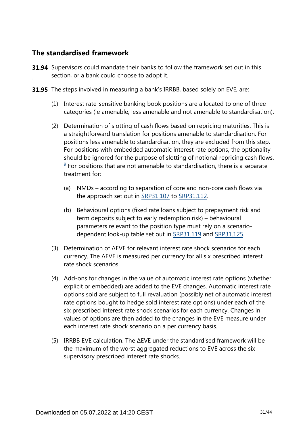# **The standardised framework**

- **31.94** Supervisors could mandate their banks to follow the framework set out in this section, or a bank could choose to adopt it.
- **31.95** The steps involved in measuring a bank's IRRBB, based solely on EVE, are:
	- (1) Interest rate-sensitive banking book positions are allocated to one of three categories (ie amenable, less amenable and not amenable to standardisation).
	- (2) Determination of slotting of cash flows based on repricing maturities. This is a straightforward translation for positions amenable to standardisation. For positions less amenable to standardisation, they are excluded from this step. For positions with embedded automatic interest rate options, the optionality should be ignored for the purpose of slotting of notional repricing cash flows.  $9$  For positions that are not amenable to standardisation, there is a separate treatment for:
		- (a) NMDs according to separation of core and non-core cash flows via the approach set out in [SRP31.107](https://www.bis.org/basel_framework/chapter/SRP/31.htm?tldate=20281012&inforce=20191215&published=20191215#paragraph_SRP_31_20191215_31_107) to [SRP31.112](https://www.bis.org/basel_framework/chapter/SRP/31.htm?tldate=20281012&inforce=20191215&published=20191215#paragraph_SRP_31_20191215_31_112).
		- (b) Behavioural options (fixed rate loans subject to prepayment risk and term deposits subject to early redemption risk) – behavioural parameters relevant to the position type must rely on a scenariodependent look-up table set out in [SRP31.119](https://www.bis.org/basel_framework/chapter/SRP/31.htm?tldate=20281012&inforce=20191215&published=20191215#paragraph_SRP_31_20191215_31_119) and [SRP31.125.](https://www.bis.org/basel_framework/chapter/SRP/31.htm?tldate=20281012&inforce=20191215&published=20191215#paragraph_SRP_31_20191215_31_125)
	- (3) Determination of ∆EVE for relevant interest rate shock scenarios for each currency. The ∆EVE is measured per currency for all six prescribed interest rate shock scenarios.
	- (4) Add-ons for changes in the value of automatic interest rate options (whether explicit or embedded) are added to the EVE changes. Automatic interest rate options sold are subject to full revaluation (possibly net of automatic interest rate options bought to hedge sold interest rate options) under each of the six prescribed interest rate shock scenarios for each currency. Changes in values of options are then added to the changes in the EVE measure under each interest rate shock scenario on a per currency basis.
	- (5) IRRBB EVE calculation. The ∆EVE under the standardised framework will be the maximum of the worst aggregated reductions to EVE across the six supervisory prescribed interest rate shocks.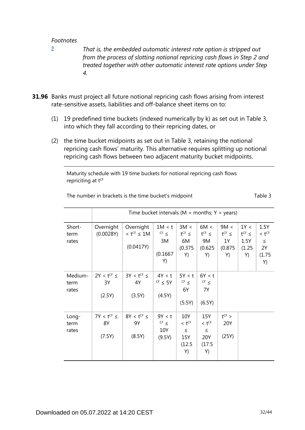<span id="page-31-0"></span>*[9](#page-0-0)*

*That is, the embedded automatic interest rate option is stripped out from the process of slotting notional repricing cash flows in Step 2 and treated together with other automatic interest rate options under Step 4.*

- **31.96** Banks must project all future notional repricing cash flows arising from interest rate-sensitive assets, liabilities and off-balance sheet items on to:
	- (1) 19 predefined time buckets (indexed numerically by k) as set out in Table 3, into which they fall according to their repricing dates, or
	- (2) the time bucket midpoints as set out in Table 3, retaining the notional repricing cash flows' maturity. This alternative requires splitting up notional repricing cash flows between two adjacent maturity bucket midpoints.

Maturity schedule with 19 time buckets for notional repricing cash flows repriciting at tCF

|                          | Time bucket intervals ( $M =$ months; $Y =$ years) |                                                         |                                             |                                                             |                                                             |                                                |                                              |                                                    |
|--------------------------|----------------------------------------------------|---------------------------------------------------------|---------------------------------------------|-------------------------------------------------------------|-------------------------------------------------------------|------------------------------------------------|----------------------------------------------|----------------------------------------------------|
| Short-<br>term<br>rates  | Overnight<br>(0.0028Y)                             | Overnight<br>$<$ t <sup>CF</sup> $\leq$ 1M<br>(0.0417Y) | 1M < t<br>$CF \leq$<br>3M<br>(0.1667)<br>Y) | 3M <<br>$t^{CF} \le$<br>6M<br>(0.375)<br>Y)                 | 6M <<br>$t^{CF} \le$<br>9M<br>(0.625)<br>Y)                 | 9M <<br>$t^{CF}$ $\leq$<br>1Y<br>(0.875)<br>Y) | 1Y <<br>$t^{CF} \le$<br>1.5Y<br>(1.25)<br>Y) | 1.5Y<br>$< t^{CF}$<br>$\leq$<br>2Y<br>(1.75)<br>Y) |
| Medium-<br>term<br>rates | $2Y < t^{CF} \le$<br>3Y<br>(2.5Y)                  | $3Y < t^{CF} \le$<br>4Y<br>(3.5Y)                       | 4Y < t<br>$CF \leq 5Y$<br>(4.5Y)            | 5Y < t<br>$CF \leq$<br>6Y<br>(5.5Y)                         | 6Y < t<br>$CF \leq$<br>7Y<br>(6.5Y)                         |                                                |                                              |                                                    |
| Long-<br>term<br>rates   | $7Y < t^{CF} \le$<br>8Y<br>(7.5Y)                  | $8Y < t^{CF} \le$<br>9Y<br>(8.5Y)                       | 9Y < t<br>$CF \leq$<br>10Y<br>(9.5Y)        | 10Y<br>$<$ t <sup>CF</sup><br>$\leq$<br>15Y<br>(12.5)<br>Y) | 15Y<br>$<$ t <sup>CF</sup><br>$\leq$<br>20Y<br>(17.5)<br>Y) | $t^{CF}$ ><br>20Y<br>(25Y)                     |                                              |                                                    |

The number in brackets is the time bucket's midpoint The number in brackets is the time bucket's midpoint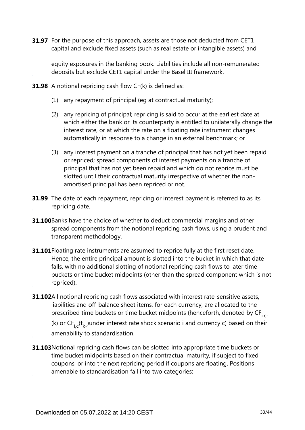**31.97** For the purpose of this approach, assets are those not deducted from CET1 capital and exclude fixed assets (such as real estate or intangible assets) and

equity exposures in the banking book. Liabilities include all non-remunerated deposits but exclude CET1 capital under the Basel III framework.

**31.98** A notional repricing cash flow CF(k) is defined as:

- (1) any repayment of principal (eg at contractual maturity);
- (2) any repricing of principal; repricing is said to occur at the earliest date at which either the bank or its counterparty is entitled to unilaterally change the interest rate, or at which the rate on a floating rate instrument changes automatically in response to a change in an external benchmark; or
- (3) any interest payment on a tranche of principal that has not yet been repaid or repriced; spread components of interest payments on a tranche of principal that has not yet been repaid and which do not reprice must be slotted until their contractual maturity irrespective of whether the nonamortised principal has been repriced or not.
- **31.99** The date of each repayment, repricing or interest payment is referred to as its repricing date.
- **31.100**Banks have the choice of whether to deduct commercial margins and other spread components from the notional repricing cash flows, using a prudent and transparent methodology.
- **31.101** Floating rate instruments are assumed to reprice fully at the first reset date. Hence, the entire principal amount is slotted into the bucket in which that date falls, with no additional slotting of notional repricing cash flows to later time buckets or time bucket midpoints (other than the spread component which is not repriced).
- **31.102**All notional repricing cash flows associated with interest rate-sensitive assets, liabilities and off-balance sheet items, for each currency, are allocated to the prescribed time buckets or time bucket midpoints (henceforth, denoted by CF<sub>i.c</sub>.

(k) or  $CF_i^-(t_k^-)$ under interest rate shock scenario i and currency c) based on their amenability to standardisation.

**31.103** Notional repricing cash flows can be slotted into appropriate time buckets or time bucket midpoints based on their contractual maturity, if subject to fixed coupons, or into the next repricing period if coupons are floating. Positions amenable to standardisation fall into two categories: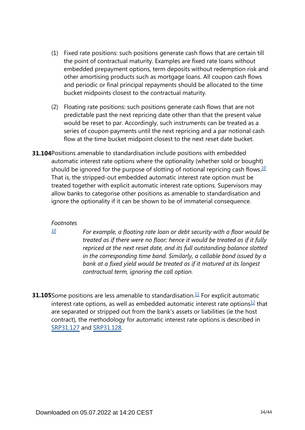- (1) Fixed rate positions: such positions generate cash flows that are certain till the point of contractual maturity. Examples are fixed rate loans without embedded prepayment options, term deposits without redemption risk and other amortising products such as mortgage loans. All coupon cash flows and periodic or final principal repayments should be allocated to the time bucket midpoints closest to the contractual maturity.
- (2) Floating rate positions: such positions generate cash flows that are not predictable past the next repricing date other than that the present value would be reset to par. Accordingly, such instruments can be treated as a series of coupon payments until the next repricing and a par notional cash flow at the time bucket midpoint closest to the next reset date bucket.
- <span id="page-33-1"></span>**31.104** Positions amenable to standardisation include positions with embedded automatic interest rate options where the optionality (whether sold or bought) should be ignored for the purpose of slotting of notional repricing cash flows.<sup>[10](#page-33-0)</sup> That is, the stripped-out embedded automatic interest rate option must be treated together with explicit automatic interest rate options. Supervisors may allow banks to categorise other positions as amenable to standardisation and ignore the optionality if it can be shown to be of immaterial consequence.

<span id="page-33-0"></span>*[10](#page-33-1)*

*For example, a floating rate loan or debt security with a floor would be treated as if there were no floor; hence it would be treated as if it fully repriced at the next reset date, and its full outstanding balance slotted in the corresponding time band. Similarly, a callable bond issued by a bank at a fixed yield would be treated as if it matured at its longest contractual term, ignoring the call option.*

<span id="page-33-3"></span><span id="page-33-2"></span>**31.105** Some positions are less amenable to standardisation. $\frac{11}{1}$  $\frac{11}{1}$  $\frac{11}{1}$  For explicit automatic interest rate options, as well as embedded automatic interest rate options $12$  that are separated or stripped out from the bank's assets or liabilities (ie the host contract), the methodology for automatic interest rate options is described in [SRP31.127](https://www.bis.org/basel_framework/chapter/SRP/31.htm?tldate=20281012&inforce=20191215&published=20191215#paragraph_SRP_31_20191215_31_127) and [SRP31.128](https://www.bis.org/basel_framework/chapter/SRP/31.htm?tldate=20281012&inforce=20191215&published=20191215#paragraph_SRP_31_20191215_31_128).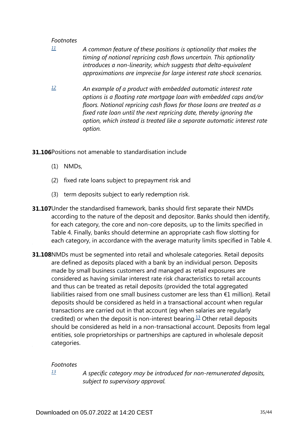- <span id="page-34-0"></span>*A common feature of these positions is optionality that makes the timing of notional repricing cash flows uncertain. This optionality introduces a non-linearity, which suggests that delta-equivalent approximations are imprecise for large interest rate shock scenarios. [11](#page-33-2)*
- <span id="page-34-1"></span>*An example of a product with embedded automatic interest rate options is a floating rate mortgage loan with embedded caps and/or floors. Notional repricing cash flows for those loans are treated as a fixed rate loan until the next repricing date, thereby ignoring the option, which instead is treated like a separate automatic interest rate option. [12](#page-33-3)*
- **31.106**Positions not amenable to standardisation include
	- (1) NMDs,
	- (2) fixed rate loans subject to prepayment risk and
	- (3) term deposits subject to early redemption risk.
- **31.107**Under the standardised framework, banks should first separate their NMDs according to the nature of the deposit and depositor. Banks should then identify, for each category, the core and non-core deposits, up to the limits specified in Table 4. Finally, banks should determine an appropriate cash flow slotting for each category, in accordance with the average maturity limits specified in Table 4.
- **31.108**NMDs must be segmented into retail and wholesale categories. Retail deposits are defined as deposits placed with a bank by an individual person. Deposits made by small business customers and managed as retail exposures are considered as having similar interest rate risk characteristics to retail accounts and thus can be treated as retail deposits (provided the total aggregated liabilities raised from one small business customer are less than €1 million). Retail deposits should be considered as held in a transactional account when regular transactions are carried out in that account (eg when salaries are regularly credited) or when the deposit is non-interest bearing.<sup>[13](#page-34-2)</sup> Other retail deposits should be considered as held in a non-transactional account. Deposits from legal entities, sole proprietorships or partnerships are captured in wholesale deposit categories.

#### <span id="page-34-3"></span>*Footnotes*

<span id="page-34-2"></span>*[13](#page-34-3)*

*A specific category may be introduced for non-remunerated deposits, subject to supervisory approval.*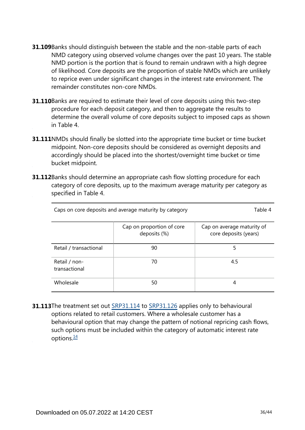- **31.109** Banks should distinguish between the stable and the non-stable parts of each NMD category using observed volume changes over the past 10 years. The stable NMD portion is the portion that is found to remain undrawn with a high degree of likelihood. Core deposits are the proportion of stable NMDs which are unlikely to reprice even under significant changes in the interest rate environment. The remainder constitutes non-core NMDs.
- **31.110**Banks are required to estimate their level of core deposits using this two-step procedure for each deposit category, and then to aggregate the results to determine the overall volume of core deposits subject to imposed caps as shown in Table 4.
- **31.111**NMDs should finally be slotted into the appropriate time bucket or time bucket midpoint. Non-core deposits should be considered as overnight deposits and accordingly should be placed into the shortest/overnight time bucket or time bucket midpoint.
- **31.112**Banks should determine an appropriate cash flow slotting procedure for each category of core deposits, up to the maximum average maturity per category as specified in Table 4.

| Caps on core deposits and average maturity by category | Table 4                                   |                                                     |
|--------------------------------------------------------|-------------------------------------------|-----------------------------------------------------|
|                                                        | Cap on proportion of core<br>deposits (%) | Cap on average maturity of<br>core deposits (years) |
| Retail / transactional                                 | 90                                        | 5                                                   |
| Retail / non-<br>transactional                         | 70                                        | 4.5                                                 |
| Wholesale                                              | 50                                        | 4                                                   |

<span id="page-35-0"></span>**31.113**The treatment set out [SRP31.114](https://www.bis.org/basel_framework/chapter/SRP/31.htm?tldate=20281012&inforce=20191215&published=20191215#paragraph_SRP_31_20191215_31_114) to [SRP31.126](https://www.bis.org/basel_framework/chapter/SRP/31.htm?tldate=20281012&inforce=20191215&published=20191215#paragraph_SRP_31_20191215_31_126) applies only to behavioural options related to retail customers. Where a wholesale customer has a behavioural option that may change the pattern of notional repricing cash flows, such options must be included within the category of automatic interest rate options. $\frac{14}{1}$  $\frac{14}{1}$  $\frac{14}{1}$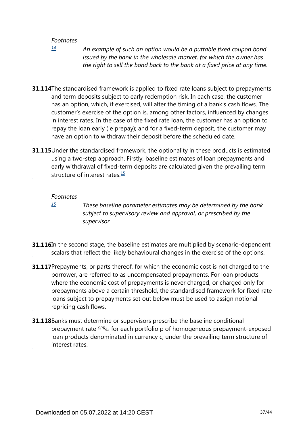<span id="page-36-0"></span>*[14](#page-35-0)*

*An example of such an option would be a puttable fixed coupon bond issued by the bank in the wholesale market, for which the owner has the right to sell the bond back to the bank at a fixed price at any time.*

- **31.114**The standardised framework is applied to fixed rate loans subject to prepayments and term deposits subject to early redemption risk. In each case, the customer has an option, which, if exercised, will alter the timing of a bank's cash flows. The customer's exercise of the option is, among other factors, influenced by changes in interest rates. In the case of the fixed rate loan, the customer has an option to repay the loan early (ie prepay); and for a fixed-term deposit, the customer may have an option to withdraw their deposit before the scheduled date.
- <span id="page-36-2"></span>**31.115** Under the standardised framework, the optionality in these products is estimated using a two-step approach. Firstly, baseline estimates of loan prepayments and early withdrawal of fixed-term deposits are calculated given the prevailing term structure of interest rates. $15$

#### *Footnotes*

<span id="page-36-1"></span>*[15](#page-36-2)*

*These baseline parameter estimates may be determined by the bank subject to supervisory review and approval, or prescribed by the supervisor.*

- **31.116**In the second stage, the baseline estimates are multiplied by scenario-dependent scalars that reflect the likely behavioural changes in the exercise of the options.
- **31.117** Prepayments, or parts thereof, for which the economic cost is not charged to the borrower, are referred to as uncompensated prepayments. For loan products where the economic cost of prepayments is never charged, or charged only for prepayments above a certain threshold, the standardised framework for fixed rate loans subject to prepayments set out below must be used to assign notional repricing cash flows.
- **31.118** Banks must determine or supervisors prescribe the baseline conditional prepayment rate  $\binom{CPR_{0,c}^p}{P}$  for each portfolio p of homogeneous prepayment-exposed loan products denominated in currency c, under the prevailing term structure of interest rates.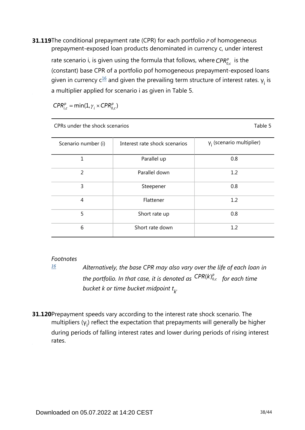<span id="page-37-1"></span>**31.119**The conditional prepayment rate (CPR) for each portfolio *P* of homogeneous prepayment-exposed loan products denominated in currency c, under interest

rate scenario i, is given using the formula that follows, where  $CPR_{0c}^p$  is the (constant) base CPR of a portfolio pof homogeneous prepayment-exposed loans given in currency  $c^{\underline{16}}$  $c^{\underline{16}}$  $c^{\underline{16}}$  and given the prevailing term structure of interest rates.  $y_i$  is a multiplier applied for scenario i as given in Table 5.

 $CPR_{i,c}^p = min(1, \gamma_i \times CPR_{0,c}^p)$ 

| CPRs under the shock scenarios | Table 5                       |                                  |
|--------------------------------|-------------------------------|----------------------------------|
| Scenario number (i)            | Interest rate shock scenarios | $\gamma_i$ (scenario multiplier) |
| 1                              | Parallel up                   | 0.8                              |
| $\overline{2}$                 | Parallel down                 | 1.2                              |
| 3                              | Steepener                     | 0.8                              |
| $\overline{4}$                 | Flattener                     | 1.2                              |
| 5                              | Short rate up                 | 0.8                              |
| 6                              | Short rate down               | 1.2                              |

## *Footnotes*

**31.120** Prepayment speeds vary according to the interest rate shock scenario. The multipliers  $(y_i)$  reflect the expectation that prepayments will generally be higher during periods of falling interest rates and lower during periods of rising interest rates.

<span id="page-37-0"></span>*Alternatively, the base CPR may also vary over the life of each loan in the portfolio. In that case, it is denoted as*  $\binom{CPR(k)_{0,c}^p}{p}$  *for each time bucket k or time bucket midpoint t . k [16](#page-37-1)*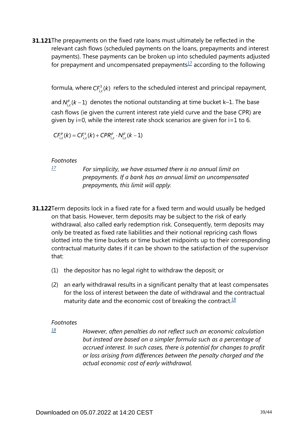<span id="page-38-1"></span>**31.121**The prepayments on the fixed rate loans must ultimately be reflected in the relevant cash flows (scheduled payments on the loans, prepayments and interest payments). These payments can be broken up into scheduled payments adjusted for prepayment and uncompensated prepayments $1/2$  according to the following

formula, where  $CF_{i,c}^{s}(k)$  refers to the scheduled interest and principal repayment,

and  $N_{i,c}^{p}(k-1)$  denotes the notional outstanding at time bucket k–1. The base cash flows (ie given the current interest rate yield curve and the base CPR) are given by i=0, while the interest rate shock scenarios are given for i=1 to 6.

 $CF_{i,c}^{p}(k) = CF_{i,c}^{s}(k) + CPR_{i,c}^{p} \cdot N_{i,c}^{p}(k-1)$ 

#### *Footnotes*

<span id="page-38-0"></span>*[17](#page-38-1)*

*For simplicity, we have assumed there is no annual limit on prepayments. If a bank has an annual limit on uncompensated prepayments, this limit will apply.*

- **31.122**Term deposits lock in a fixed rate for a fixed term and would usually be hedged on that basis. However, term deposits may be subject to the risk of early withdrawal, also called early redemption risk. Consequently, term deposits may only be treated as fixed rate liabilities and their notional repricing cash flows slotted into the time buckets or time bucket midpoints up to their corresponding contractual maturity dates if it can be shown to the satisfaction of the supervisor that:
	- (1) the depositor has no legal right to withdraw the deposit; or
	- (2) an early withdrawal results in a significant penalty that at least compensates for the loss of interest between the date of withdrawal and the contractual maturity date and the economic cost of breaking the contract. $18$

#### <span id="page-38-3"></span>*Footnotes*

<span id="page-38-2"></span>*[18](#page-38-3)*

*However, often penalties do not reflect such an economic calculation but instead are based on a simpler formula such as a percentage of accrued interest. In such cases, there is potential for changes to profit or loss arising from differences between the penalty charged and the actual economic cost of early withdrawal.*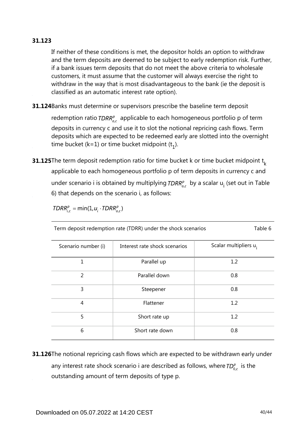## **31.123**

If neither of these conditions is met, the depositor holds an option to withdraw and the term deposits are deemed to be subject to early redemption risk. Further, if a bank issues term deposits that do not meet the above criteria to wholesale customers, it must assume that the customer will always exercise the right to withdraw in the way that is most disadvantageous to the bank (ie the deposit is classified as an automatic interest rate option).

**31.124**Banks must determine or supervisors prescribe the baseline term deposit

redemption ratio  $TDRR_{ac}^{p}$  applicable to each homogeneous portfolio p of term deposits in currency c and use it to slot the notional repricing cash flows. Term deposits which are expected to be redeemed early are slotted into the overnight time bucket (k=1) or time bucket midpoint  $(t_1)$ .

**31.125**The term deposit redemption ratio for time bucket k or time bucket midpoint  $\mathsf{t}_{\mathsf{k}}$ applicable to each homogeneous portfolio p of term deposits in currency c and under scenario i is obtained by multiplying  $TDRR_{o,c}^p$  by a scalar  $u_i$  (set out in Table 6) that depends on the scenario i, as follows:

$$
TDRR_{i.c}^p = \min(1, u_i \cdot TDRR_{o.c}^p)
$$

Term deposit redemption rate (TDRR) under the shock scenarios Table 6

| Scenario number (i) | Interest rate shock scenarios | Scalar multipliers u <sub>i</sub> |
|---------------------|-------------------------------|-----------------------------------|
| 1                   | Parallel up                   | 1.2                               |
| 2                   | Parallel down                 | 0.8                               |
| 3                   | Steepener                     | 0.8                               |
| 4                   | Flattener                     | 1.2                               |
| 5                   | Short rate up                 | 1.2                               |
| 6                   | Short rate down               | 0.8                               |

**31.126**The notional repricing cash flows which are expected to be withdrawn early under any interest rate shock scenario i are described as follows, where  $TD_{0,c}^p$  is the outstanding amount of term deposits of type p.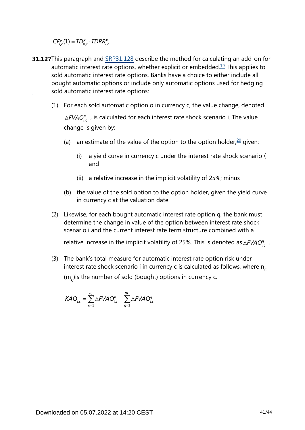$CF_{i,c}^p(1) = TD_{0,c}^p \cdot TDRR_{i,c}^p$ 

- <span id="page-40-1"></span><span id="page-40-0"></span>**31.127**This paragraph and [SRP31.128](https://www.bis.org/basel_framework/chapter/SRP/31.htm?tldate=20281012&inforce=20191215&published=20191215#paragraph_SRP_31_20191215_31_128) describe the method for calculating an add-on for automatic interest rate options, whether explicit or embedded.<sup>[19](#page-41-0)</sup> This applies to sold automatic interest rate options. Banks have a choice to either include all bought automatic options or include only automatic options used for hedging sold automatic interest rate options:
	- (1) For each sold automatic option o in currency c, the value change, denoted  $\triangle FVAO_{i,c}^o$ , is calculated for each interest rate shock scenario i. The value change is given by:
		- (a) an estimate of the value of the option to the option holder, $20$  given:
			- (i) a yield curve in currency c under the interest rate shock scenario  $\dot{r}$ ; and
			- (ii) a relative increase in the implicit volatility of 25%; minus
		- (b) the value of the sold option to the option holder, given the yield curve in currency c at the valuation date.
	- (2) Likewise, for each bought automatic interest rate option q, the bank must determine the change in value of the option between interest rate shock scenario i and the current interest rate term structure combined with a

relative increase in the implicit volatility of 25%. This is denoted as  $\triangle FVAO_i^q$ .

(3) The bank's total measure for automatic interest rate option risk under interest rate shock scenario i in currency c is calculated as follows, where n<sub>c</sub> (m<sub>c</sub>)is the number of sold (bought) options in currency c.

$$
KAO_{i,c} = \sum_{o=1}^{n_c} \triangle FVAO_{i,c}^o - \sum_{q=1}^{m_c} \triangle FVAO_{i,c}^q
$$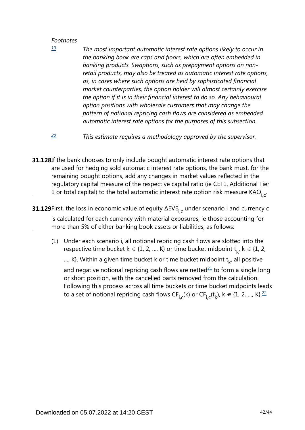<span id="page-41-0"></span>*[19](#page-40-0)*

*The most important automatic interest rate options likely to occur in the banking book are caps and floors, which are often embedded in banking products. Swaptions, such as prepayment options on nonretail products, may also be treated as automatic interest rate options, as, in cases where such options are held by sophisticated financial market counterparties, the option holder will almost certainly exercise the option if it is in their financial interest to do so. Any behavioural option positions with wholesale customers that may change the pattern of notional repricing cash flows are considered as embedded automatic interest rate options for the purposes of this subsection.*

- *This estimate requires a methodology approved by the supervisor. [20](#page-40-1)*
- <span id="page-41-1"></span>**31.128**If the bank chooses to only include bought automatic interest rate options that are used for hedging sold automatic interest rate options, the bank must, for the remaining bought options, add any changes in market values reflected in the regulatory capital measure of the respective capital ratio (ie CET1, Additional Tier 1 or total capital) to the total automatic interest rate option risk measure KAO<sub>i,c</sub>.
- **31.129**First, the loss in economic value of equity  $\Delta$ EVE $_{\mathsf{i,c}}$  under scenario i and currency c is calculated for each currency with material exposures, ie those accounting for more than 5% of either banking book assets or liabilities, as follows:
	- (1) Under each scenario i, all notional repricing cash flows are slotted into the respective time bucket  $k \in \{1, 2, ..., K\}$  or time bucket midpoint  $t_{k}$ ,  $k \in \{1, 2, ..., K\}$ ..., K}. Within a given time bucket k or time bucket midpoint  $t_{\nu}$ , all positive and negative notional repricing cash flows are netted $2\pm 1$  to form a single long or short position, with the cancelled parts removed from the calculation.

<span id="page-41-3"></span><span id="page-41-2"></span>Following this process across all time buckets or time bucket midpoints leads to a set of notional repricing cash flows CF<sub>i,c</sub>(k) or CF<sub>i,c</sub>(t<sub>k</sub>), k  $\in$  {1, 2, ..., K}. $^{22}$  $^{22}$  $^{22}$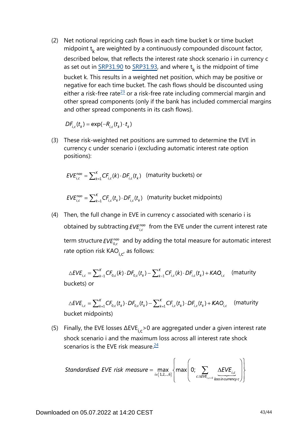(2) Net notional repricing cash flows in each time bucket k or time bucket midpoint  $t_k$  are weighted by a continuously compounded discount factor, described below, that reflects the interest rate shock scenario i in currency c as set out in  $\frac{SRP31.90}{SRP31.93}$ , and where  $t_k$  is the midpoint of time bucket k. This results in a weighted net position, which may be positive or negative for each time bucket. The cash flows should be discounted using either a risk-free rate<sup>[23](#page-43-2)</sup> or a risk-free rate including commercial margin and other spread components (only if the bank has included commercial margins and other spread components in its cash flows).

 $DF_{i,c}(t_{\nu}) = \exp(-R_{i,c}(t_{\nu}) \cdot t_{\nu})$ 

<span id="page-42-0"></span>(3) These risk-weighted net positions are summed to determine the EVE in currency c under scenario i (excluding automatic interest rate option positions):

$$
EVE_{i,c}^{nao} = \sum_{k=1}^{K} CF_{i,c}(k) \cdot DF_{i,c}(t_k)
$$
 (maturity buckets) or

 $EVE_{i,c}^{n\alpha\alpha} = \sum_{k=1}^{K} CF_{i,c}(t_k) \cdot DF_{i,c}(t_k)$  (maturity bucket midpoints)

(4) Then, the full change in EVE in currency c associated with scenario i is obtained by subtracting  $EVE_{i,c}^{nao}$  from the EVE under the current interest rate term structure  $EVE_{0,c}^{nao}$  and by adding the total measure for automatic interest rate option risk  $KAO_{i.c'}$  as follows:

$$
\triangle EVE_{i,c} = \sum_{k=1}^{K} CF_{0,c}(k) \cdot DF_{0,c}(t_k) - \sum_{k=1}^{K} CF_{i,c}(k) \cdot DF_{i,c}(t_k) + KAO_{i,c}
$$
 (maturity buckets) or

$$
\triangle EVE_{i,c} = \sum_{k=1}^{K} CF_{0,c}(t_k) \cdot DF_{0,c}(t_k) - \sum_{k=1}^{K} CF_{i,c}(t_k) \cdot DF_{i,c}(t_k) + KAO_{i,c} \quad \text{(maturity bucket midpoints)}
$$

<span id="page-42-1"></span>(5) Finally, the EVE losses  $\Delta$ EVE<sub>ic</sub> > 0 are aggregated under a given interest rate shock scenario i and the maximum loss across all interest rate shock scenarios is the EVE risk measure. $24$ 

Standardised EVE risk measure = 
$$
\max_{i \in \{1,2,\dots,6\}} \left\{ \max \left(0; \sum_{c: \Delta EVE_{i,c>0}} \frac{\Delta EVE_{i,c}}{\text{lossincurrencyc}} \right) \right\}
$$